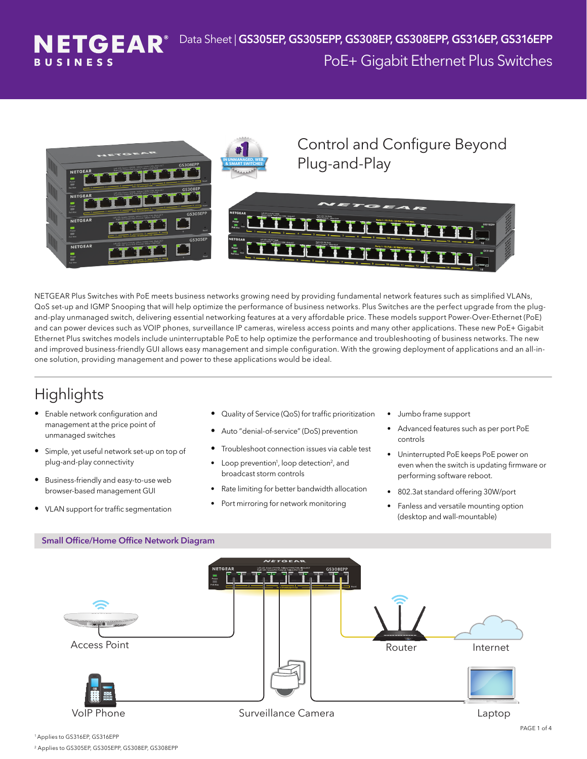



NETGEAR Plus Switches with PoE meets business networks growing need by providing fundamental network features such as simplified VLANs, QoS set-up and IGMP Snooping that will help optimize the performance of business networks. Plus Switches are the perfect upgrade from the plugand-play unmanaged switch, delivering essential networking features at a very affordable price. These models support Power-Over-Ethernet (PoE) and can power devices such as VOIP phones, surveillance IP cameras, wireless access points and many other applications. These new PoE+ Gigabit Ethernet Plus switches models include uninterruptable PoE to help optimize the performance and troubleshooting of business networks. The new and improved business-friendly GUI allows easy management and simple configuration. With the growing deployment of applications and an all-inone solution, providing management and power to these applications would be ideal.

## **Highlights**

- Enable network configuration and management at the price point of unmanaged switches
- Simple, yet useful network set-up on top of plug-and-play connectivity
- Business-friendly and easy-to-use web browser-based management GUI
- VLAN support for traffic segmentation
- Quality of Service (QoS) for traffic prioritization
- Auto "denial-of-service" (DoS) prevention
- Troubleshoot connection issues via cable test
- Loop prevention<sup>1</sup>, loop detection<sup>2</sup>, and broadcast storm controls
- Rate limiting for better bandwidth allocation
- Port mirroring for network monitoring
- Jumbo frame support
- Advanced features such as per port PoE controls
- Uninterrupted PoE keeps PoE power on even when the switch is updating firmware or performing software reboot.
- 802.3at standard offering 30W/port
- Fanless and versatile mounting option (desktop and wall-mountable)



<sup>1</sup>Applies to GS316EP, GS316EPP

2 Applies to GS305EP, GS305EPP, GS308EP, GS308EPP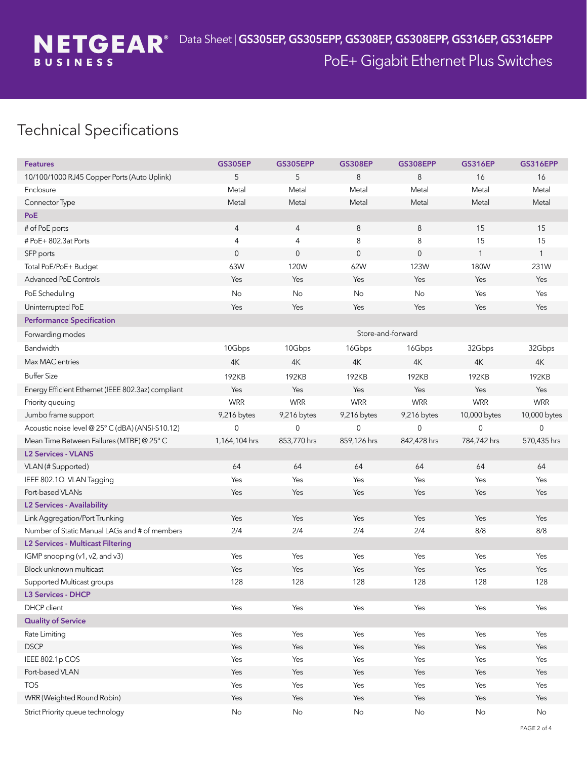## Technical Specifications

| <b>Features</b>                                    | <b>GS305EP</b>      | <b>GS305EPP</b> | <b>GS308EP</b>      | <b>GS308EPP</b> | <b>GS316EP</b> | <b>GS316EPP</b> |
|----------------------------------------------------|---------------------|-----------------|---------------------|-----------------|----------------|-----------------|
| 10/100/1000 RJ45 Copper Ports (Auto Uplink)        | 5                   | 5               | 8                   | 8               | 16             | 16              |
| Enclosure                                          | Metal               | Metal           | Metal               | Metal           | Metal          | Metal           |
| Connector Type                                     | Metal               | Metal           | Metal               | Metal           | Metal          | Metal           |
| PoE                                                |                     |                 |                     |                 |                |                 |
| # of PoE ports                                     | $\overline{4}$      | $\overline{4}$  | 8                   | $\,8\,$         | 15             | 15              |
| # PoE+ 802.3at Ports                               | $\overline{4}$      | 4               | 8                   | 8               | 15             | 15              |
| SFP ports                                          | $\mathsf{O}\xspace$ | $\mathbf 0$     | $\mathsf{O}\xspace$ | $\mathbf 0$     | $\mathbf{1}$   | $\mathbf{1}$    |
| Total PoE/PoE+ Budget                              | 63W                 | 120W            | 62W                 | 123W            | 180W           | 231W            |
| Advanced PoE Controls                              | Yes                 | Yes             | Yes                 | Yes             | Yes            | Yes             |
| PoE Scheduling                                     | No                  | No              | No                  | No              | Yes            | Yes             |
| Uninterrupted PoE                                  | Yes                 | Yes             | Yes                 | Yes             | Yes            | Yes             |
| <b>Performance Specification</b>                   |                     |                 |                     |                 |                |                 |
| Forwarding modes                                   |                     |                 | Store-and-forward   |                 |                |                 |
| Bandwidth                                          | 10Gbps              | 10Gbps          | 16Gbps              | 16Gbps          | 32Gbps         | 32Gbps          |
| Max MAC entries                                    | 4K                  | 4K              | 4K                  | 4K              | 4K             | 4K              |
| <b>Buffer Size</b>                                 | 192KB               | 192KB           | 192KB               | 192KB           | 192KB          | 192KB           |
| Energy Efficient Ethernet (IEEE 802.3az) compliant | Yes                 | Yes             | Yes                 | Yes             | Yes            | Yes             |
| Priority queuing                                   | <b>WRR</b>          | <b>WRR</b>      | <b>WRR</b>          | <b>WRR</b>      | <b>WRR</b>     | <b>WRR</b>      |
| Jumbo frame support                                | 9,216 bytes         | 9,216 bytes     | 9,216 bytes         | 9,216 bytes     | 10,000 bytes   | 10,000 bytes    |
| Acoustic noise level @ 25° C (dBA) (ANSI-S10.12)   | $\mathbf{0}$        | $\mathbf 0$     | 0                   | 0               | 0              | $\mathbf 0$     |
| Mean Time Between Failures (MTBF) @ 25° C          | 1,164,104 hrs       | 853,770 hrs     | 859,126 hrs         | 842,428 hrs     | 784,742 hrs    | 570,435 hrs     |
| <b>L2 Services - VLANS</b>                         |                     |                 |                     |                 |                |                 |
| VLAN (# Supported)                                 | 64                  | 64              | 64                  | 64              | 64             | 64              |
| IEEE 802.1Q VLAN Tagging                           | Yes                 | Yes             | Yes                 | Yes             | Yes            | Yes             |
| Port-based VLANs                                   | Yes                 | Yes             | Yes                 | Yes             | Yes            | Yes             |
| <b>L2 Services - Availability</b>                  |                     |                 |                     |                 |                |                 |
| Link Aggregation/Port Trunking                     | Yes                 | Yes             | Yes                 | Yes             | Yes            | Yes             |
| Number of Static Manual LAGs and # of members      | 2/4                 | 2/4             | 2/4                 | 2/4             | 8/8            | 8/8             |
| <b>L2 Services - Multicast Filtering</b>           |                     |                 |                     |                 |                |                 |
| IGMP snooping (v1, v2, and v3)                     | Yes                 | Yes             | Yes                 | Yes             | Yes            | Yes             |
| Block unknown multicast                            | Yes                 | Yes             | Yes                 | Yes             | Yes            | Yes             |
| Supported Multicast groups                         | 128                 | 128             | 128                 | 128             | 128            | 128             |
| <b>L3 Services - DHCP</b>                          |                     |                 |                     |                 |                |                 |
| DHCP client                                        | Yes                 | Yes             | Yes                 | Yes             | Yes            | Yes             |
| <b>Quality of Service</b>                          |                     |                 |                     |                 |                |                 |
| Rate Limiting                                      | Yes                 | Yes             | Yes                 | Yes             | Yes            | Yes             |
| <b>DSCP</b>                                        | Yes                 | Yes             | Yes                 | Yes             | Yes            | Yes             |
| IEEE 802.1p COS                                    | Yes                 | Yes             | Yes                 | Yes             | Yes            | Yes             |
| Port-based VLAN                                    | Yes                 | Yes             | Yes                 | Yes             | Yes            | Yes             |
| <b>TOS</b>                                         | Yes                 | Yes             | Yes                 | Yes             | Yes            | Yes             |
| WRR (Weighted Round Robin)                         | Yes                 | Yes             | Yes                 | Yes             | Yes            | Yes             |
| Strict Priority queue technology                   | $\mathsf{No}$       | No              | No                  | $\mathsf{No}$   | $\mathsf{No}$  | $\mathsf{No}$   |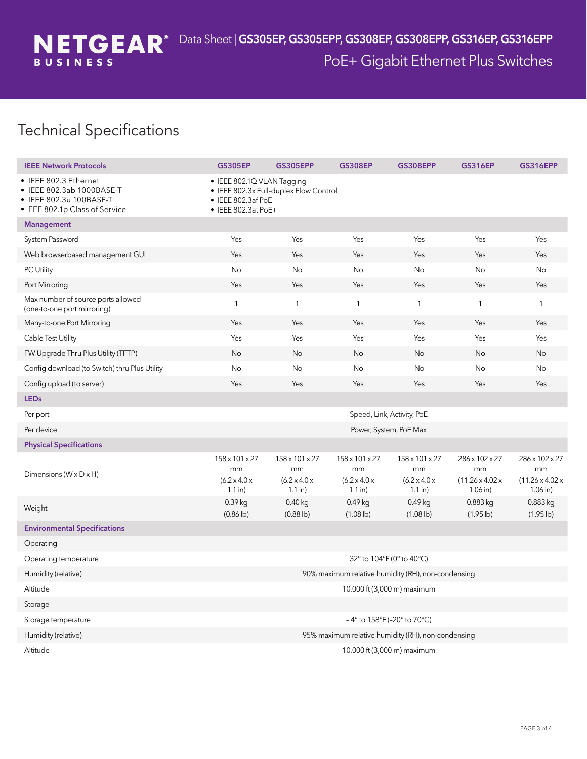## Technical Specifications

| <b>IEEE Network Protocols</b>                                                                                | <b>GS305EP</b>                                                                                                    | <b>GS305EPP</b>                                                           | <b>GS308EP</b>                                                            | <b>GS308EPP</b>                                               | <b>GS316EP</b>                                                    | <b>GS316EPP</b>                                                   |  |  |
|--------------------------------------------------------------------------------------------------------------|-------------------------------------------------------------------------------------------------------------------|---------------------------------------------------------------------------|---------------------------------------------------------------------------|---------------------------------------------------------------|-------------------------------------------------------------------|-------------------------------------------------------------------|--|--|
| • IEEE 802.3 Ethernet<br>IEEE 802.3ab 1000BASE-T<br>• IEEE 802.3u 100BASE-T<br>• EEE 802.1p Class of Service | · IEEE 802.1Q VLAN Tagging<br>• IEEE 802.3x Full-duplex Flow Control<br>• IEEE 802.3af PoE<br>• IEEE 802.3at PoE+ |                                                                           |                                                                           |                                                               |                                                                   |                                                                   |  |  |
| <b>Management</b>                                                                                            |                                                                                                                   |                                                                           |                                                                           |                                                               |                                                                   |                                                                   |  |  |
| System Password                                                                                              | Yes                                                                                                               | Yes                                                                       | Yes                                                                       | Yes                                                           | Yes                                                               | Yes                                                               |  |  |
| Web browserbased management GUI                                                                              | Yes                                                                                                               | Yes                                                                       | Yes                                                                       | Yes                                                           | Yes                                                               | Yes                                                               |  |  |
| PC Utility                                                                                                   | No                                                                                                                | No                                                                        | No                                                                        | No                                                            | No                                                                | No                                                                |  |  |
| Port Mirroring                                                                                               | Yes                                                                                                               | Yes                                                                       | Yes                                                                       | Yes                                                           | Yes                                                               | Yes                                                               |  |  |
| Max number of source ports allowed<br>(one-to-one port mirroring)                                            | $\mathbf{1}$                                                                                                      | $\mathbf{1}$                                                              | $\mathbf{1}$                                                              | $\mathbf{1}$                                                  | $\mathbf{1}$                                                      | $\mathbf{1}$                                                      |  |  |
| Many-to-one Port Mirroring                                                                                   | Yes                                                                                                               | Yes                                                                       | Yes                                                                       | Yes                                                           | Yes                                                               | Yes                                                               |  |  |
| Cable Test Utility                                                                                           | Yes                                                                                                               | Yes                                                                       | Yes                                                                       | Yes                                                           | Yes                                                               | Yes                                                               |  |  |
| FW Upgrade Thru Plus Utility (TFTP)                                                                          | No                                                                                                                | No                                                                        | No                                                                        | No                                                            | No                                                                | No                                                                |  |  |
| Config download (to Switch) thru Plus Utility                                                                | No                                                                                                                | No                                                                        | No                                                                        | No                                                            | No                                                                | No                                                                |  |  |
| Config upload (to server)                                                                                    | Yes                                                                                                               | Yes                                                                       | Yes                                                                       | Yes                                                           | Yes                                                               | Yes                                                               |  |  |
| <b>LEDs</b>                                                                                                  |                                                                                                                   |                                                                           |                                                                           |                                                               |                                                                   |                                                                   |  |  |
| Per port                                                                                                     | Speed, Link, Activity, PoE                                                                                        |                                                                           |                                                                           |                                                               |                                                                   |                                                                   |  |  |
| Per device                                                                                                   | Power, System, PoE Max                                                                                            |                                                                           |                                                                           |                                                               |                                                                   |                                                                   |  |  |
| <b>Physical Specifications</b>                                                                               |                                                                                                                   |                                                                           |                                                                           |                                                               |                                                                   |                                                                   |  |  |
| Dimensions ( $W \times D \times H$ )                                                                         | 158 x 101 x 27<br>mm<br>$(6.2 \times 4.0 \times$<br>$1.1$ in)                                                     | $158 \times 101 \times 27$<br>mm<br>$(6.2 \times 4.0 \times$<br>$1.1$ in) | $158 \times 101 \times 27$<br>mm<br>$(6.2 \times 4.0 \times$<br>$1.1$ in) | 158 x 101 x 27<br>mm<br>$(6.2 \times 4.0 \times$<br>$1.1$ in) | 286 x 102 x 27<br>mm<br>$(11.26 \times 4.02 \times$<br>$1.06$ in) | 286 x 102 x 27<br>mm<br>$(11.26 \times 4.02 \times$<br>$1.06$ in) |  |  |
| Weight                                                                                                       | 0.39 kg<br>$(0.86 \, \{bbb})$                                                                                     | $0.40$ kg<br>$(0.88 \, \{bbb})$                                           | 0.49 kg<br>$(1.08 \, \text{lb})$                                          | 0.49 kg<br>$(1.08 \, \{bbb})$                                 | 0.883 kg<br>$(1.95 \, lb)$                                        | 0.883 kg<br>$(1.95 \, \text{lb})$                                 |  |  |
| <b>Environmental Specifications</b>                                                                          |                                                                                                                   |                                                                           |                                                                           |                                                               |                                                                   |                                                                   |  |  |
| Operating                                                                                                    |                                                                                                                   |                                                                           |                                                                           |                                                               |                                                                   |                                                                   |  |  |
| Operating temperature                                                                                        | 32° to 104°F (0° to 40°C)                                                                                         |                                                                           |                                                                           |                                                               |                                                                   |                                                                   |  |  |
| Humidity (relative)                                                                                          | 90% maximum relative humidity (RH), non-condensing                                                                |                                                                           |                                                                           |                                                               |                                                                   |                                                                   |  |  |
| Altitude                                                                                                     | 10,000 ft (3,000 m) maximum                                                                                       |                                                                           |                                                                           |                                                               |                                                                   |                                                                   |  |  |
| Storage                                                                                                      |                                                                                                                   |                                                                           |                                                                           |                                                               |                                                                   |                                                                   |  |  |
| Storage temperature                                                                                          | -4° to 158°F (-20° to 70°C)                                                                                       |                                                                           |                                                                           |                                                               |                                                                   |                                                                   |  |  |
| Humidity (relative)                                                                                          | 95% maximum relative humidity (RH), non-condensing                                                                |                                                                           |                                                                           |                                                               |                                                                   |                                                                   |  |  |
| Altitude                                                                                                     | 10,000 ft (3,000 m) maximum                                                                                       |                                                                           |                                                                           |                                                               |                                                                   |                                                                   |  |  |